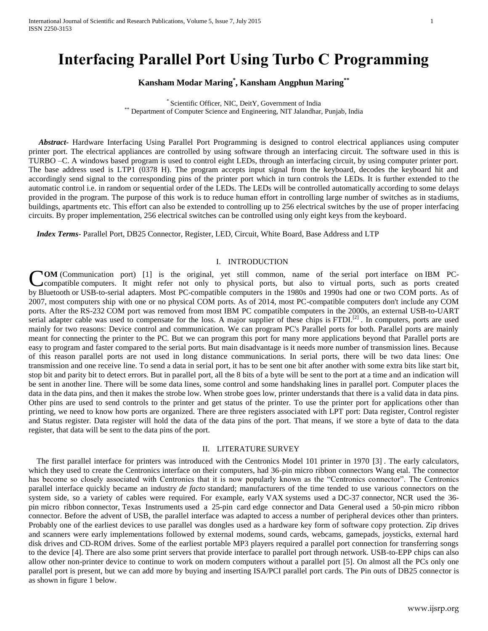# **Interfacing Parallel Port Using Turbo C Programming**

# **Kansham Modar Maring\* , Kansham Angphun Maring\*\***

\* Scientific Officer, NIC, DeitY, Government of India \*\* Department of Computer Science and Engineering, NIT Jalandhar, Punjab, India

 *Abstract***-** Hardware Interfacing Using Parallel Port Programming is designed to control electrical appliances using computer printer port. The electrical appliances are controlled by using software through an interfacing circuit. The software used in this is TURBO –C. A windows based program is used to control eight LEDs, through an interfacing circuit, by using computer printer port. The base address used is LTP1 (0378 H). The program accepts input signal from the keyboard, decodes the keyboard hit and accordingly send signal to the corresponding pins of the printer port which in turn controls the LEDs. It is further extended to the automatic control i.e. in random or sequential order of the LEDs. The LEDs will be controlled automatically according to some delays provided in the program. The purpose of this work is to reduce human effort in controlling large number of switches as in stadiums, buildings, apartments etc. This effort can also be extended to controlling up to 256 electrical switches by the use of proper interfacing circuits. By proper implementation, 256 electrical switches can be controlled using only eight keys from the keyboard.

 *Index Terms*- Parallel Port, DB25 Connector, Register, LED, Circuit, White Board, Base Address and LTP

#### I. INTRODUCTION

**COM** (Communication port) [\[1\]](http://en.wikipedia.org/wiki/COM_%28hardware_interface%29#cite_note-1) is the original, yet still common, name of the [serial port](http://en.wikipedia.org/wiki/Serial_port) interface on IBM PC-<br>
compatible computers. It might refer not only to physical ports, but also to virtual ports, such as ports crea [compatible](http://en.wikipedia.org/wiki/PC_compatible) [computers.](http://en.wikipedia.org/wiki/Computer) It might refer not only to physical ports, but also to virtual ports, such as ports created by [Bluetooth](http://en.wikipedia.org/wiki/Bluetooth) or [USB-](http://en.wikipedia.org/wiki/Universal_Serial_Bus)to-serial adapters. Most PC-compatible computers in the 1980s and 1990s had one or two COM ports. As of 2007, most computers ship with one or no physical COM ports. As of 2014, most PC-compatible computers don't include any COM ports. After the [RS-232](http://en.wikipedia.org/wiki/RS-232) COM port was removed from most [IBM PC compatible](http://en.wikipedia.org/wiki/IBM_PC_compatible) computers in the 2000s, an external USB-to-UART serial adapter cable was used to compensate for the loss. A major supplier of these chips is [FTDI.](http://en.wikipedia.org/wiki/FTDI)<sup>[\[2\]](http://en.wikipedia.org/wiki/COM_%28hardware_interface%29#cite_note-2)</sup>. In computers, ports are used mainly for two reasons: Device control and communication. We can program PC's Parallel ports for both. Parallel ports are mainly meant for connecting the printer to the PC. But we can program this port for many more applications beyond that Parallel ports are easy to program and faster compared to the serial ports. But main disadvantage is it needs more number of transmission lines. Because of this reason parallel ports are not used in long distance communications. In serial ports, there will be two data lines: One transmission and one receive line. To send a data in serial port, it has to be sent one bit after another with some extra bits like start bit, stop bit and parity bit to detect errors. But in parallel port, all the 8 bits of a byte will be sent to the port at a time and an indication will be sent in another line. There will be some data lines, some control and some handshaking lines in parallel port. Computer places the data in the data pins, and then it makes the strobe low. When strobe goes low, printer understands that there is a valid data in data pins. Other pins are used to send controls to the printer and get status of the printer. To use the printer port for applications other than printing, we need to know how ports are organized. There are three registers associated with LPT port: Data register, Control register and Status register. Data register will hold the data of the data pins of the port. That means, if we store a byte of data to the data register, that data will be sent to the data pins of the port.

### II. LITERATURE SURVEY

 The first parallel interface for printers was introduced with the Centronics Model 101 printer in 1970 [\[3\]](http://en.wikipedia.org/wiki/Parallel_port#cite_note-webster-2) . The early calculators, which they used to create the Centronics interface on their computers, had 36-pin micro ribbon connectors Wang etal. The connector has become so closely associated with Centronics that it is now popularly known as the "Centronics connector". The Centronics parallel interface quickly became an industry *de facto* [standard;](http://en.wikipedia.org/wiki/De_facto_standard) manufacturers of the time tended to use various connectors on the system side, so a variety of cables were required. For example, early [VAX](http://en.wikipedia.org/wiki/VAX) systems used a [DC-37](http://en.wikipedia.org/wiki/DC-37) connector, [NCR](http://en.wikipedia.org/wiki/NCR_Corporation) used the 36 pin [micro ribbon](http://en.wikipedia.org/wiki/Micro_ribbon) connector, [Texas Instruments](http://en.wikipedia.org/wiki/Texas_Instruments) used a 25-pin card [edge connector](http://en.wikipedia.org/wiki/Edge_connector) and [Data General](http://en.wikipedia.org/wiki/Data_General) used a 50-pin micro ribbon connector. Before the advent of [USB,](http://en.wikipedia.org/wiki/Universal_Serial_Bus) the parallel interface was adapted to access a number of peripheral devices other than printers. Probably one of the earliest devices to use parallel was dongles used as a hardware key form of software copy protection. Zip drives and scanners were early implementations followed by external modems, sound cards, webcams, gamepads, joysticks, external hard disk drives and CD-ROM drives. Some of the earliest portable MP3 players required a parallel port connection for transferring songs to the device [\[4\].](http://en.wikipedia.org/wiki/Parallel_port#cite_note-6) There are also some [print servers](http://en.wikipedia.org/wiki/Print_server) that provide interface to parallel port through network. USB-to-EPP chips can also allow other non-printer device to continue to work on modern computers without a parallel port [\[5\].](http://en.wikipedia.org/wiki/Parallel_port#cite_note-7) On almost all the PCs only one parallel port is present, but we can add more by buying and inserting ISA/PCI parallel port cards. The Pin outs of DB25 connector is as shown in figure 1 below.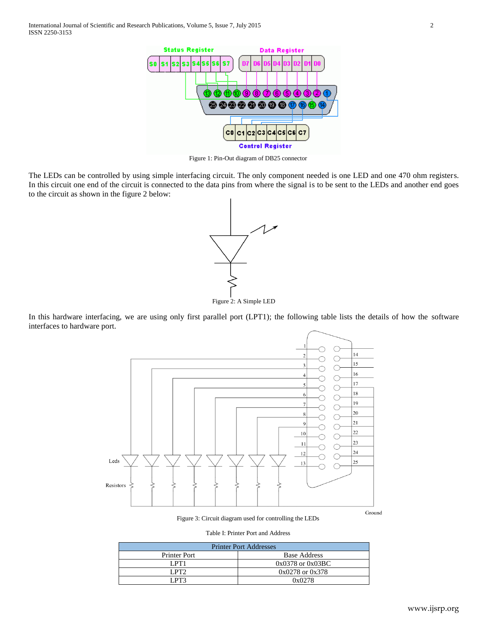

Figure 1: Pin-Out diagram of DB25 connector

The LEDs can be controlled by using simple interfacing circuit. The only component needed is one LED and one 470 ohm registers. In this circuit one end of the circuit is connected to the data pins from where the signal is to be sent to the LEDs and another end goes to the circuit as shown in the figure 2 below:



In this hardware interfacing, we are using only first parallel port (LPT1); the following table lists the details of how the software interfaces to hardware port.



Figure 3: Circuit diagram used for controlling the LEDs

Table I: Printer Port and Address

| <b>Printer Port Addresses</b> |                      |  |  |  |
|-------------------------------|----------------------|--|--|--|
| <b>Printer Port</b>           | <b>Base Address</b>  |  |  |  |
| LPT1                          | $0x0378$ or $0x03BC$ |  |  |  |
| LPT2                          | $0x0278$ or $0x378$  |  |  |  |
| I PT?                         | 0x0278               |  |  |  |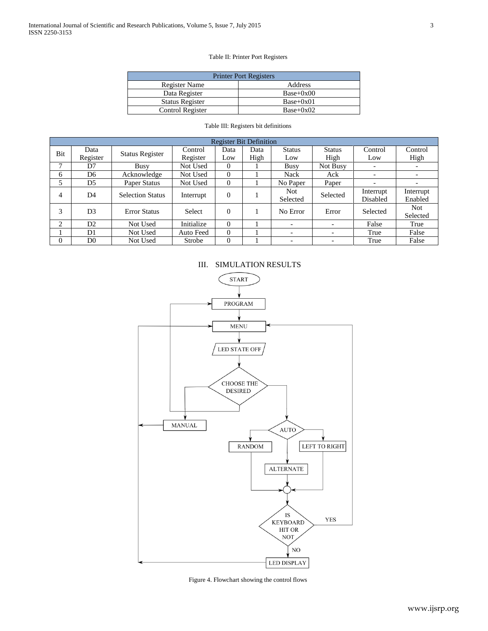#### Table II: Printer Port Registers

| <b>Printer Port Registers</b> |             |  |  |  |  |
|-------------------------------|-------------|--|--|--|--|
| Register Name                 | Address     |  |  |  |  |
| Data Register                 | $Base+0x00$ |  |  |  |  |
| <b>Status Register</b>        | $Base+0x01$ |  |  |  |  |
| Control Register              | $Base+0x02$ |  |  |  |  |

|  |  |  | Table III: Registers bit definitions |
|--|--|--|--------------------------------------|
|--|--|--|--------------------------------------|

| <b>Register Bit Definition</b> |                                                   |                                           |            |          |      |                          |                          |           |            |  |
|--------------------------------|---------------------------------------------------|-------------------------------------------|------------|----------|------|--------------------------|--------------------------|-----------|------------|--|
|                                | Data<br>Bit<br><b>Status Register</b><br>Register |                                           | Control    | Data     | Data | <b>Status</b>            | <b>Status</b>            | Control   | Control    |  |
|                                |                                                   | Register                                  | Low        | High     | Low  | High                     | Low                      | High      |            |  |
| 7                              | D7                                                | Busy                                      | Not Used   | $\theta$ |      | <b>Busy</b>              | Not Busy                 |           |            |  |
| 6                              | D6                                                | Acknowledge                               | Not Used   | $\Omega$ |      | <b>Nack</b>              | Ack                      | -         |            |  |
| 5                              | D <sub>5</sub>                                    | Paper Status                              | Not Used   | $\Omega$ |      | No Paper                 | Paper                    | -         |            |  |
| 4                              |                                                   | D <sub>4</sub><br><b>Selection Status</b> | Interrupt  | $\Omega$ |      | <b>Not</b>               | Selected                 | Interrupt | Interrupt  |  |
|                                |                                                   |                                           |            |          |      | Selected                 |                          | Disabled  | Enabled    |  |
| 3                              | D <sub>3</sub>                                    | <b>Error Status</b>                       | Select     | $\Omega$ |      | No Error                 | Error                    | Selected  | <b>Not</b> |  |
|                                |                                                   |                                           |            |          |      |                          |                          |           | Selected   |  |
| 2                              | D2                                                | Not Used                                  | Initialize | $\Omega$ |      | $\overline{\phantom{0}}$ | $\overline{\phantom{0}}$ | False     | True       |  |
|                                | D1                                                | Not Used                                  | Auto Feed  | $\Omega$ |      | $\overline{\phantom{a}}$ | $\overline{\phantom{0}}$ | True      | False      |  |
| $\Omega$                       | D <sub>0</sub>                                    | Not Used                                  | Strobe     | $\Omega$ |      | -                        | $\overline{\phantom{a}}$ | True      | False      |  |





Figure 4. Flowchart showing the control flows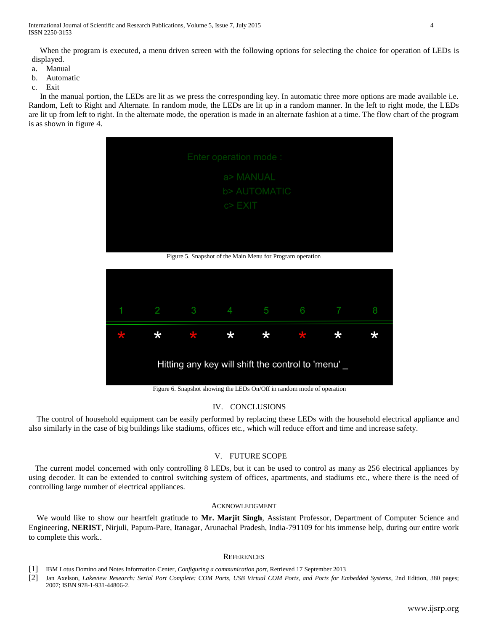When the program is executed, a menu driven screen with the following options for selecting the choice for operation of LEDs is displayed.

- a. Manual
- b. Automatic
- c. Exit

In the manual portion, the LEDs are lit as we press the corresponding key. In automatic three more options are made available i.e. Random, Left to Right and Alternate. In random mode, the LEDs are lit up in a random manner. In the left to right mode, the LEDs are lit up from left to right. In the alternate mode, the operation is made in an alternate fashion at a time. The flow chart of the program is as shown in figure 4.



Figure 5. Snapshot of the Main Menu for Program operation



Figure 6. Snapshot showing the LEDs On/Off in random mode of operation

## IV. CONCLUSIONS

 The control of household equipment can be easily performed by replacing these LEDs with the household electrical appliance and also similarly in the case of big buildings like stadiums, offices etc., which will reduce effort and time and increase safety.

# V. FUTURE SCOPE

 The current model concerned with only controlling 8 LEDs, but it can be used to control as many as 256 electrical appliances by using decoder. It can be extended to control switching system of offices, apartments, and stadiums etc., where there is the need of controlling large number of electrical appliances.

#### ACKNOWLEDGMENT

We would like to show our heartfelt gratitude to **Mr. Marjit Singh**, Assistant Professor, Department of Computer Science and Engineering, **NERIST**, Nirjuli, Papum-Pare, Itanagar, Arunachal Pradesh, India-791109 for his immense help, during our entire work to complete this work..

#### **REFERENCES**

<sup>[1]</sup> IBM Lotus Domino and Notes Information Center, *Configuring a communication port*, Retrieved 17 September 2013

<sup>[2]</sup> Jan Axelson, *Lakeview Research: Serial Port Complete: COM Ports, USB Virtual COM Ports, and Ports for Embedded Systems*, 2nd Edition, 380 pages; 2007; [ISBN 978-1-931-44806-2.](http://en.wikipedia.org/wiki/Special:BookSources/9781931448062)